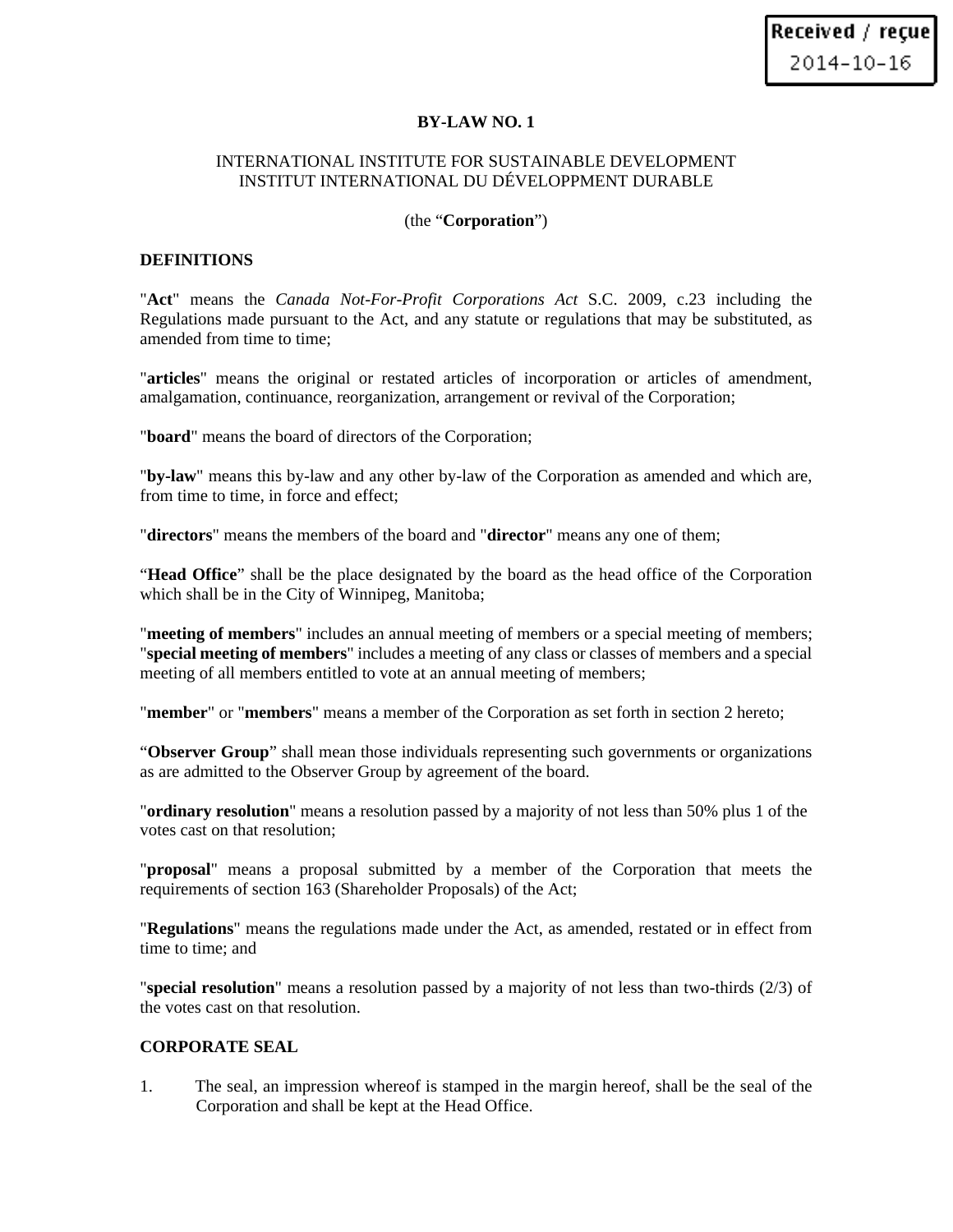### **BY-LAW NO. 1**

## INTERNATIONAL INSTITUTE FOR SUSTAINABLE DEVELOPMENT INSTITUT INTERNATIONAL DU DÉVELOPPMENT DURABLE

### (the "**Corporation**")

### **DEFINITIONS**

"**Act**" means the *Canada Not-For-Profit Corporations Act* S.C. 2009, c.23 including the Regulations made pursuant to the Act, and any statute or regulations that may be substituted, as amended from time to time;

"**articles**" means the original or restated articles of incorporation or articles of amendment, amalgamation, continuance, reorganization, arrangement or revival of the Corporation;

"**board**" means the board of directors of the Corporation;

"**by-law**" means this by-law and any other by-law of the Corporation as amended and which are, from time to time, in force and effect;

"**directors**" means the members of the board and "**director**" means any one of them;

"**Head Office**" shall be the place designated by the board as the head office of the Corporation which shall be in the City of Winnipeg, Manitoba;

"**meeting of members**" includes an annual meeting of members or a special meeting of members; "**special meeting of members**" includes a meeting of any class or classes of members and a special meeting of all members entitled to vote at an annual meeting of members;

"**member**" or "**members**" means a member of the Corporation as set forth in section 2 hereto;

"**Observer Group**" shall mean those individuals representing such governments or organizations as are admitted to the Observer Group by agreement of the board.

"**ordinary resolution**" means a resolution passed by a majority of not less than 50% plus 1 of the votes cast on that resolution;

"**proposal**" means a proposal submitted by a member of the Corporation that meets the requirements of section 163 (Shareholder Proposals) of the Act;

"**Regulations**" means the regulations made under the Act, as amended, restated or in effect from time to time; and

"**special resolution**" means a resolution passed by a majority of not less than two-thirds (2/3) of the votes cast on that resolution.

## **CORPORATE SEAL**

1. The seal, an impression whereof is stamped in the margin hereof, shall be the seal of the Corporation and shall be kept at the Head Office.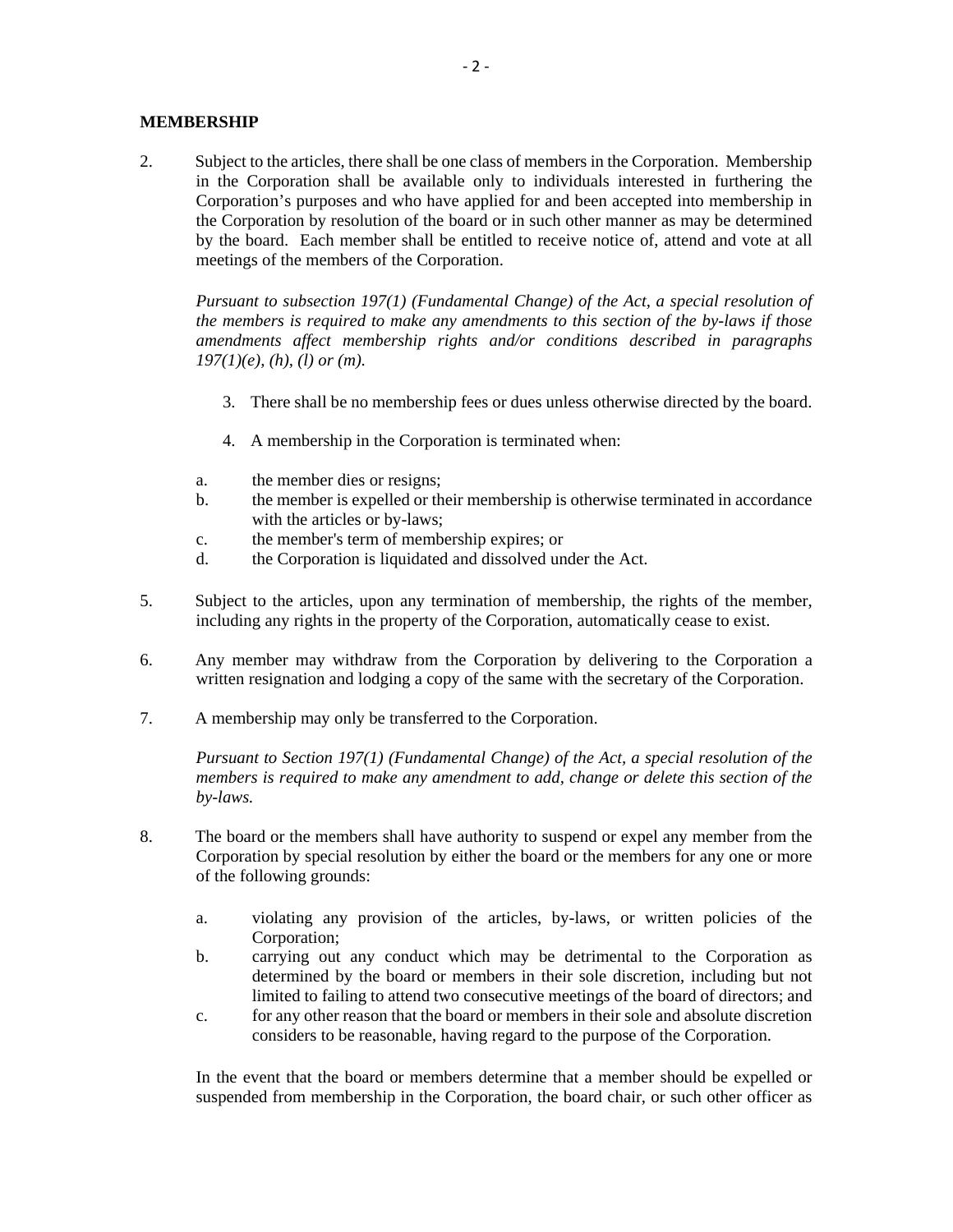### **MEMBERSHIP**

2. Subject to the articles, there shall be one class of members in the Corporation. Membership in the Corporation shall be available only to individuals interested in furthering the Corporation's purposes and who have applied for and been accepted into membership in the Corporation by resolution of the board or in such other manner as may be determined by the board. Each member shall be entitled to receive notice of, attend and vote at all meetings of the members of the Corporation.

*Pursuant to subsection 197(1) (Fundamental Change) of the Act, a special resolution of the members is required to make any amendments to this section of the by-laws if those amendments affect membership rights and/or conditions described in paragraphs 197(1)(e), (h), (l) or (m).* 

- 3. There shall be no membership fees or dues unless otherwise directed by the board.
- 4. A membership in the Corporation is terminated when:
- a. the member dies or resigns;
- b. the member is expelled or their membership is otherwise terminated in accordance with the articles or by-laws;
- c. the member's term of membership expires; or
- d. the Corporation is liquidated and dissolved under the Act.
- 5. Subject to the articles, upon any termination of membership, the rights of the member, including any rights in the property of the Corporation, automatically cease to exist.
- 6. Any member may withdraw from the Corporation by delivering to the Corporation a written resignation and lodging a copy of the same with the secretary of the Corporation.
- 7. A membership may only be transferred to the Corporation.

*Pursuant to Section 197(1) (Fundamental Change) of the Act, a special resolution of the members is required to make any amendment to add, change or delete this section of the by-laws.* 

- 8. The board or the members shall have authority to suspend or expel any member from the Corporation by special resolution by either the board or the members for any one or more of the following grounds:
	- a. violating any provision of the articles, by-laws, or written policies of the Corporation;
	- b. carrying out any conduct which may be detrimental to the Corporation as determined by the board or members in their sole discretion, including but not limited to failing to attend two consecutive meetings of the board of directors; and
	- c. for any other reason that the board or members in their sole and absolute discretion considers to be reasonable, having regard to the purpose of the Corporation.

In the event that the board or members determine that a member should be expelled or suspended from membership in the Corporation, the board chair, or such other officer as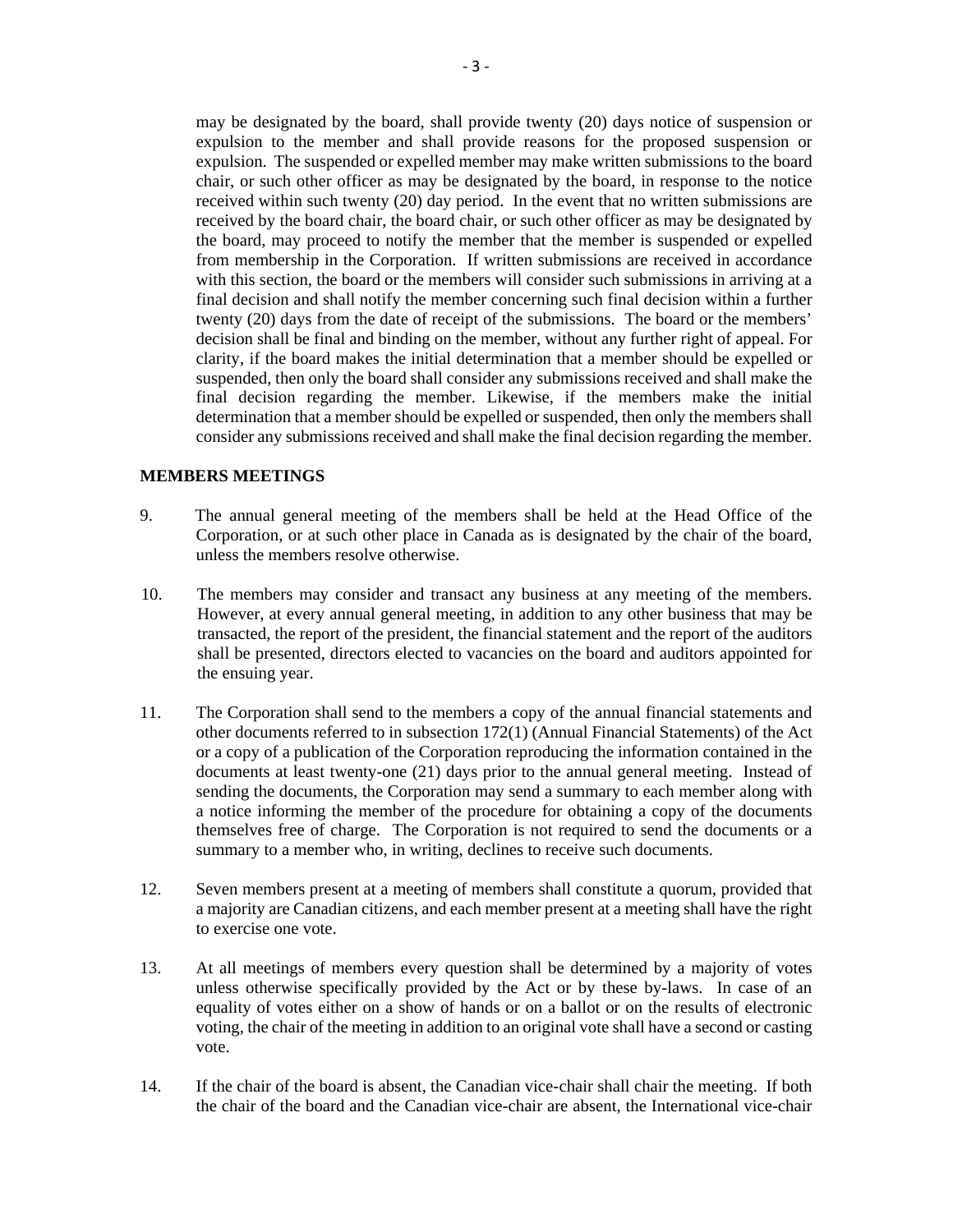may be designated by the board, shall provide twenty (20) days notice of suspension or expulsion to the member and shall provide reasons for the proposed suspension or expulsion. The suspended or expelled member may make written submissions to the board chair, or such other officer as may be designated by the board, in response to the notice received within such twenty (20) day period. In the event that no written submissions are received by the board chair, the board chair, or such other officer as may be designated by the board, may proceed to notify the member that the member is suspended or expelled from membership in the Corporation. If written submissions are received in accordance with this section, the board or the members will consider such submissions in arriving at a final decision and shall notify the member concerning such final decision within a further twenty (20) days from the date of receipt of the submissions. The board or the members' decision shall be final and binding on the member, without any further right of appeal. For clarity, if the board makes the initial determination that a member should be expelled or suspended, then only the board shall consider any submissions received and shall make the final decision regarding the member. Likewise, if the members make the initial determination that a member should be expelled or suspended, then only the members shall consider any submissions received and shall make the final decision regarding the member.

### **MEMBERS MEETINGS**

- 9. The annual general meeting of the members shall be held at the Head Office of the Corporation, or at such other place in Canada as is designated by the chair of the board, unless the members resolve otherwise.
- 10. The members may consider and transact any business at any meeting of the members. However, at every annual general meeting, in addition to any other business that may be transacted, the report of the president, the financial statement and the report of the auditors shall be presented, directors elected to vacancies on the board and auditors appointed for the ensuing year.
- 11. The Corporation shall send to the members a copy of the annual financial statements and other documents referred to in subsection 172(1) (Annual Financial Statements) of the Act or a copy of a publication of the Corporation reproducing the information contained in the documents at least twenty-one (21) days prior to the annual general meeting. Instead of sending the documents, the Corporation may send a summary to each member along with a notice informing the member of the procedure for obtaining a copy of the documents themselves free of charge. The Corporation is not required to send the documents or a summary to a member who, in writing, declines to receive such documents.
- 12. Seven members present at a meeting of members shall constitute a quorum, provided that a majority are Canadian citizens, and each member present at a meeting shall have the right to exercise one vote.
- 13. At all meetings of members every question shall be determined by a majority of votes unless otherwise specifically provided by the Act or by these by-laws. In case of an equality of votes either on a show of hands or on a ballot or on the results of electronic voting, the chair of the meeting in addition to an original vote shall have a second or casting vote.
- 14. If the chair of the board is absent, the Canadian vice-chair shall chair the meeting. If both the chair of the board and the Canadian vice-chair are absent, the International vice-chair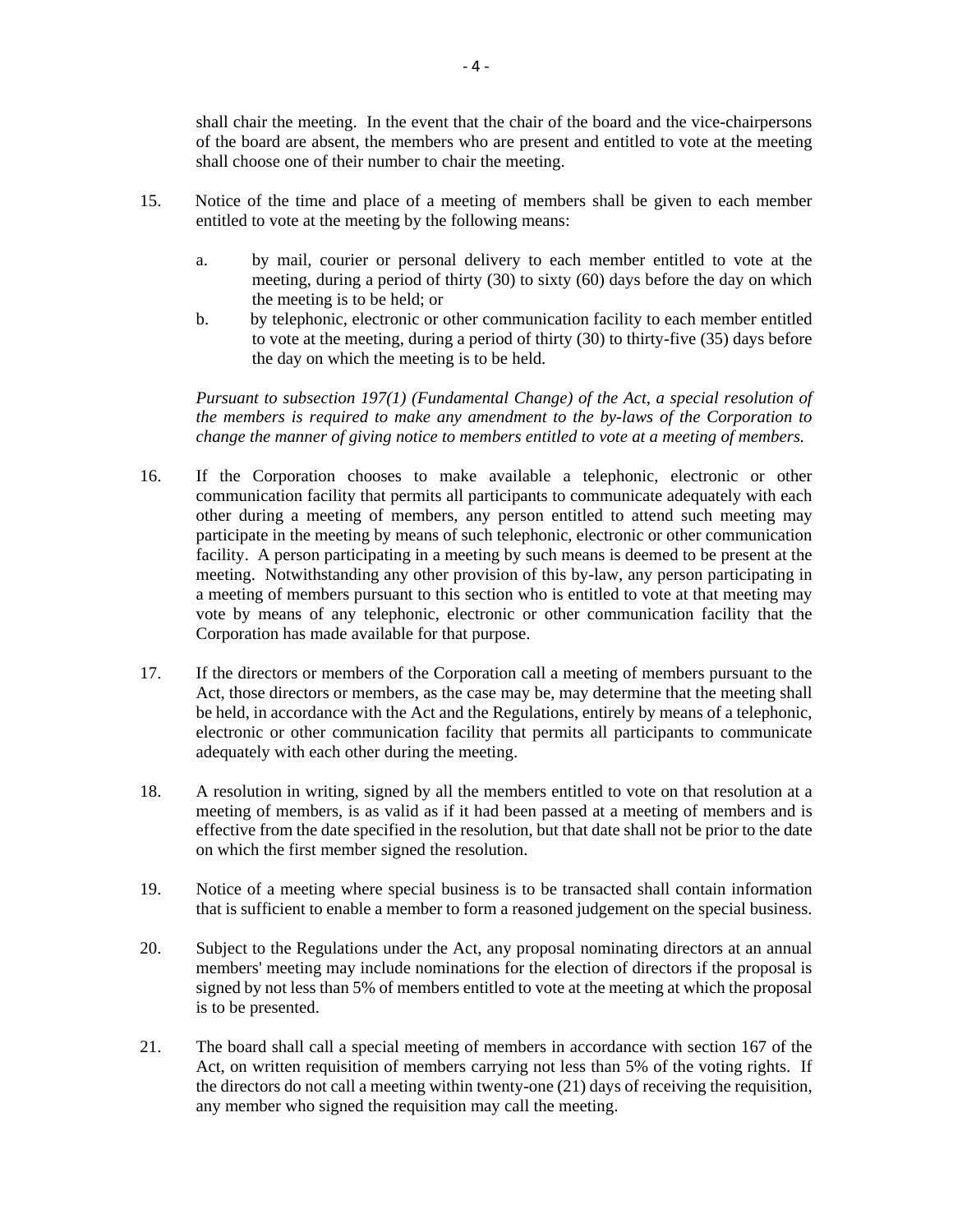shall chair the meeting. In the event that the chair of the board and the vice-chairpersons of the board are absent, the members who are present and entitled to vote at the meeting shall choose one of their number to chair the meeting.

- 15. Notice of the time and place of a meeting of members shall be given to each member entitled to vote at the meeting by the following means:
	- a. by mail, courier or personal delivery to each member entitled to vote at the meeting, during a period of thirty (30) to sixty (60) days before the day on which the meeting is to be held; or
	- b. by telephonic, electronic or other communication facility to each member entitled to vote at the meeting, during a period of thirty (30) to thirty-five (35) days before the day on which the meeting is to be held.

*Pursuant to subsection 197(1) (Fundamental Change) of the Act, a special resolution of the members is required to make any amendment to the by-laws of the Corporation to change the manner of giving notice to members entitled to vote at a meeting of members.* 

- 16. If the Corporation chooses to make available a telephonic, electronic or other communication facility that permits all participants to communicate adequately with each other during a meeting of members, any person entitled to attend such meeting may participate in the meeting by means of such telephonic, electronic or other communication facility. A person participating in a meeting by such means is deemed to be present at the meeting. Notwithstanding any other provision of this by-law, any person participating in a meeting of members pursuant to this section who is entitled to vote at that meeting may vote by means of any telephonic, electronic or other communication facility that the Corporation has made available for that purpose.
- 17. If the directors or members of the Corporation call a meeting of members pursuant to the Act, those directors or members, as the case may be, may determine that the meeting shall be held, in accordance with the Act and the Regulations, entirely by means of a telephonic, electronic or other communication facility that permits all participants to communicate adequately with each other during the meeting.
- 18. A resolution in writing, signed by all the members entitled to vote on that resolution at a meeting of members, is as valid as if it had been passed at a meeting of members and is effective from the date specified in the resolution, but that date shall not be prior to the date on which the first member signed the resolution.
- 19. Notice of a meeting where special business is to be transacted shall contain information that is sufficient to enable a member to form a reasoned judgement on the special business.
- 20. Subject to the Regulations under the Act, any proposal nominating directors at an annual members' meeting may include nominations for the election of directors if the proposal is signed by not less than 5% of members entitled to vote at the meeting at which the proposal is to be presented.
- 21. The board shall call a special meeting of members in accordance with section 167 of the Act, on written requisition of members carrying not less than 5% of the voting rights. If the directors do not call a meeting within twenty-one (21) days of receiving the requisition, any member who signed the requisition may call the meeting.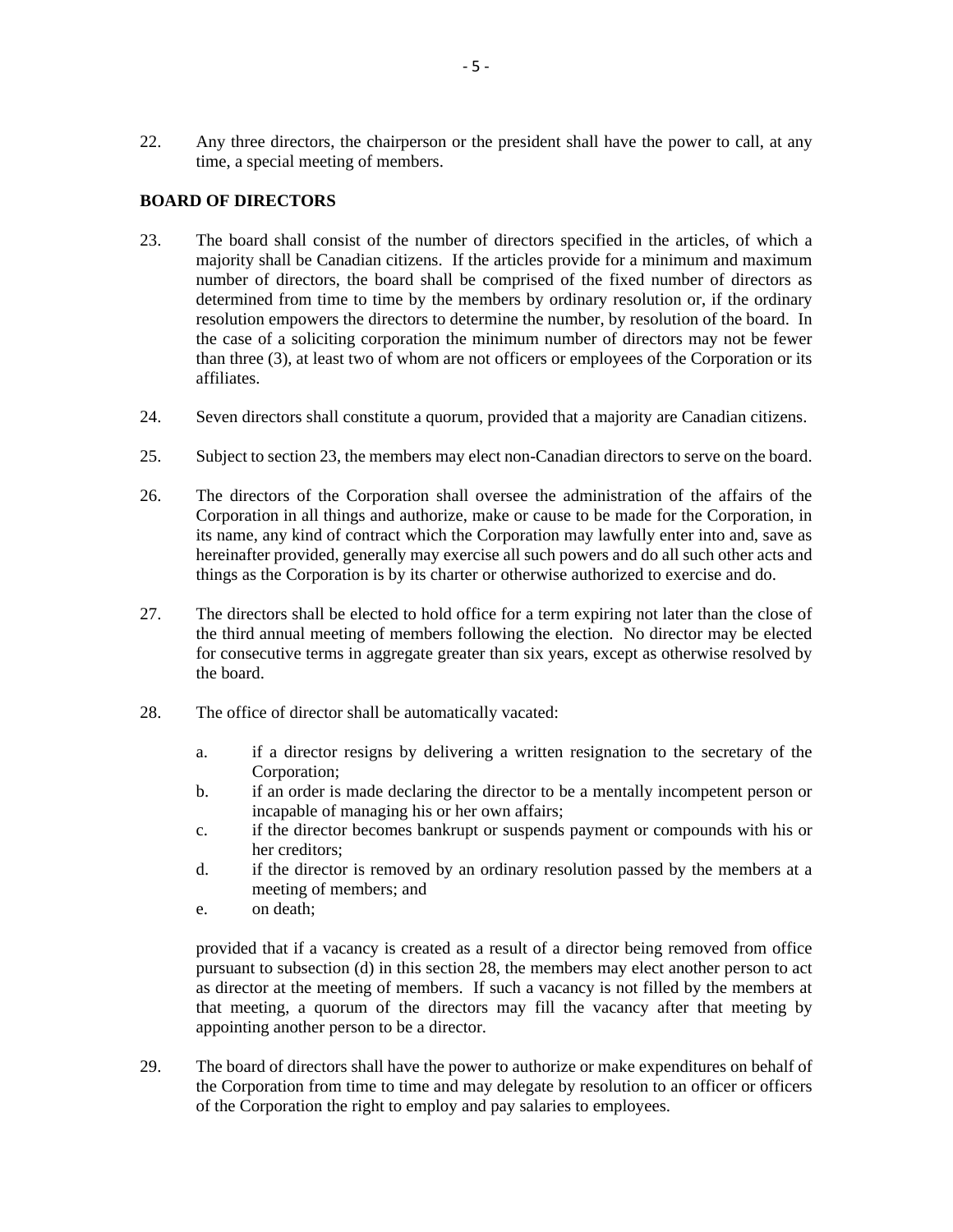22. Any three directors, the chairperson or the president shall have the power to call, at any time, a special meeting of members.

## **BOARD OF DIRECTORS**

- 23. The board shall consist of the number of directors specified in the articles, of which a majority shall be Canadian citizens. If the articles provide for a minimum and maximum number of directors, the board shall be comprised of the fixed number of directors as determined from time to time by the members by ordinary resolution or, if the ordinary resolution empowers the directors to determine the number, by resolution of the board. In the case of a soliciting corporation the minimum number of directors may not be fewer than three (3), at least two of whom are not officers or employees of the Corporation or its affiliates.
- 24. Seven directors shall constitute a quorum, provided that a majority are Canadian citizens.
- 25. Subject to section 23, the members may elect non-Canadian directors to serve on the board.
- 26. The directors of the Corporation shall oversee the administration of the affairs of the Corporation in all things and authorize, make or cause to be made for the Corporation, in its name, any kind of contract which the Corporation may lawfully enter into and, save as hereinafter provided, generally may exercise all such powers and do all such other acts and things as the Corporation is by its charter or otherwise authorized to exercise and do.
- 27. The directors shall be elected to hold office for a term expiring not later than the close of the third annual meeting of members following the election. No director may be elected for consecutive terms in aggregate greater than six years, except as otherwise resolved by the board.
- 28. The office of director shall be automatically vacated:
	- a. if a director resigns by delivering a written resignation to the secretary of the Corporation;
	- b. if an order is made declaring the director to be a mentally incompetent person or incapable of managing his or her own affairs;
	- c. if the director becomes bankrupt or suspends payment or compounds with his or her creditors;
	- d. if the director is removed by an ordinary resolution passed by the members at a meeting of members; and
	- e. on death;

provided that if a vacancy is created as a result of a director being removed from office pursuant to subsection (d) in this section 28, the members may elect another person to act as director at the meeting of members. If such a vacancy is not filled by the members at that meeting, a quorum of the directors may fill the vacancy after that meeting by appointing another person to be a director.

29. The board of directors shall have the power to authorize or make expenditures on behalf of the Corporation from time to time and may delegate by resolution to an officer or officers of the Corporation the right to employ and pay salaries to employees.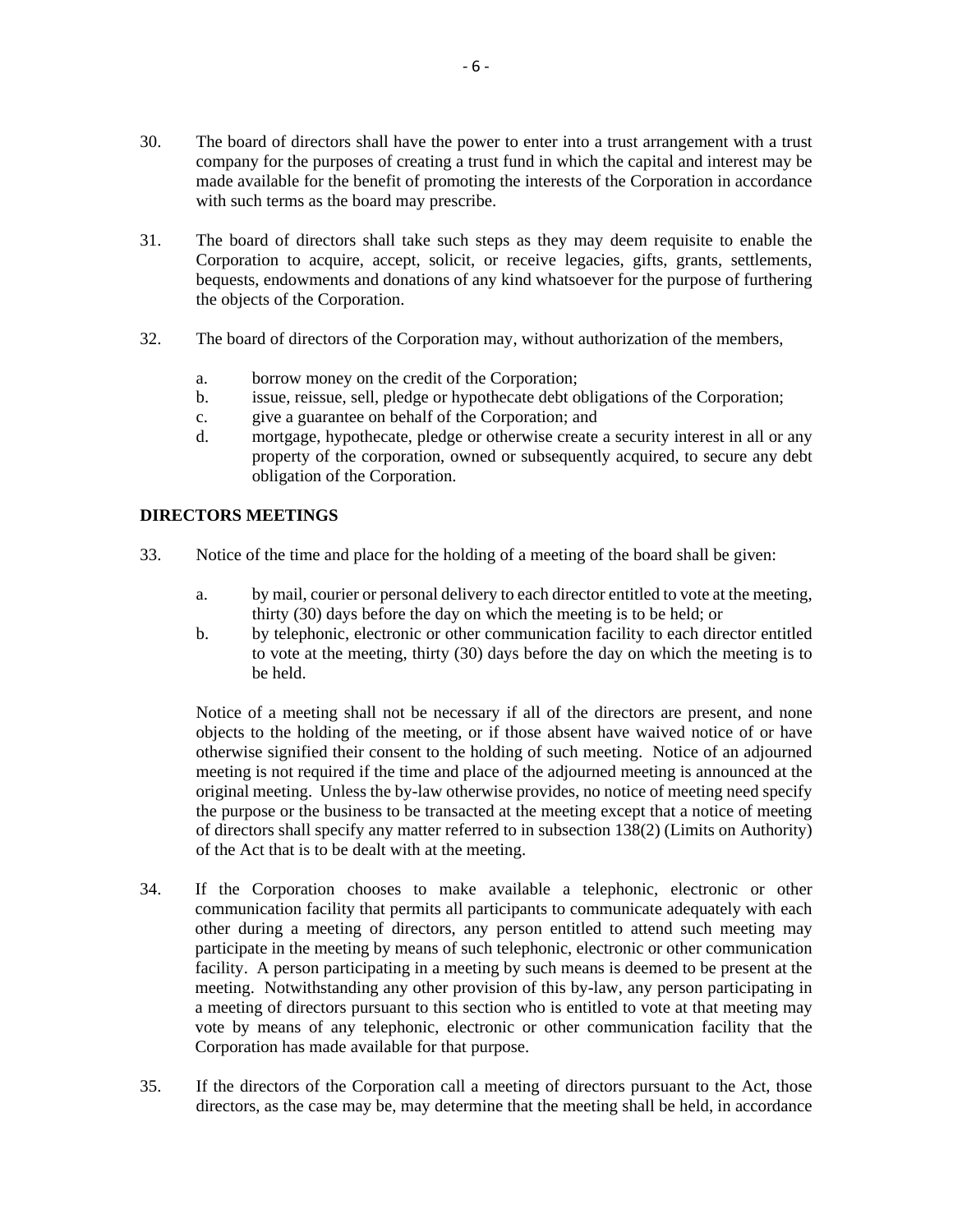- 30. The board of directors shall have the power to enter into a trust arrangement with a trust company for the purposes of creating a trust fund in which the capital and interest may be made available for the benefit of promoting the interests of the Corporation in accordance with such terms as the board may prescribe.
- 31. The board of directors shall take such steps as they may deem requisite to enable the Corporation to acquire, accept, solicit, or receive legacies, gifts, grants, settlements, bequests, endowments and donations of any kind whatsoever for the purpose of furthering the objects of the Corporation.
- 32. The board of directors of the Corporation may, without authorization of the members,
	- a. borrow money on the credit of the Corporation;
	- b. issue, reissue, sell, pledge or hypothecate debt obligations of the Corporation;
	- c. give a guarantee on behalf of the Corporation; and
	- d. mortgage, hypothecate, pledge or otherwise create a security interest in all or any property of the corporation, owned or subsequently acquired, to secure any debt obligation of the Corporation.

# **DIRECTORS MEETINGS**

- 33. Notice of the time and place for the holding of a meeting of the board shall be given:
	- a. by mail, courier or personal delivery to each director entitled to vote at the meeting, thirty (30) days before the day on which the meeting is to be held; or
	- b. by telephonic, electronic or other communication facility to each director entitled to vote at the meeting, thirty (30) days before the day on which the meeting is to be held.

Notice of a meeting shall not be necessary if all of the directors are present, and none objects to the holding of the meeting, or if those absent have waived notice of or have otherwise signified their consent to the holding of such meeting. Notice of an adjourned meeting is not required if the time and place of the adjourned meeting is announced at the original meeting. Unless the by-law otherwise provides, no notice of meeting need specify the purpose or the business to be transacted at the meeting except that a notice of meeting of directors shall specify any matter referred to in subsection 138(2) (Limits on Authority) of the Act that is to be dealt with at the meeting.

- 34. If the Corporation chooses to make available a telephonic, electronic or other communication facility that permits all participants to communicate adequately with each other during a meeting of directors, any person entitled to attend such meeting may participate in the meeting by means of such telephonic, electronic or other communication facility. A person participating in a meeting by such means is deemed to be present at the meeting. Notwithstanding any other provision of this by-law, any person participating in a meeting of directors pursuant to this section who is entitled to vote at that meeting may vote by means of any telephonic, electronic or other communication facility that the Corporation has made available for that purpose.
- 35. If the directors of the Corporation call a meeting of directors pursuant to the Act, those directors, as the case may be, may determine that the meeting shall be held, in accordance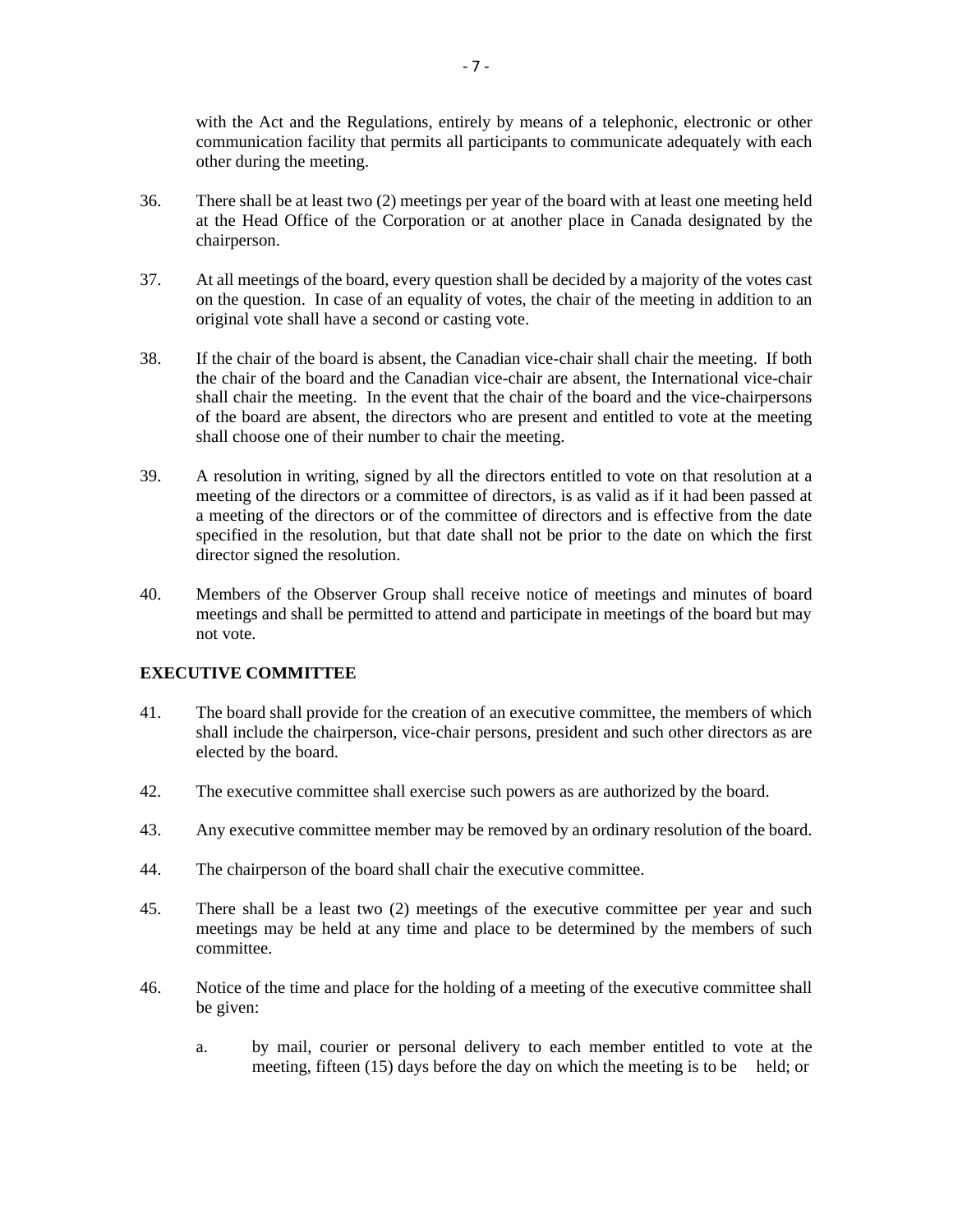with the Act and the Regulations, entirely by means of a telephonic, electronic or other communication facility that permits all participants to communicate adequately with each other during the meeting.

- 36. There shall be at least two (2) meetings per year of the board with at least one meeting held at the Head Office of the Corporation or at another place in Canada designated by the chairperson.
- 37. At all meetings of the board, every question shall be decided by a majority of the votes cast on the question. In case of an equality of votes, the chair of the meeting in addition to an original vote shall have a second or casting vote.
- 38. If the chair of the board is absent, the Canadian vice-chair shall chair the meeting. If both the chair of the board and the Canadian vice-chair are absent, the International vice-chair shall chair the meeting. In the event that the chair of the board and the vice-chairpersons of the board are absent, the directors who are present and entitled to vote at the meeting shall choose one of their number to chair the meeting.
- 39. A resolution in writing, signed by all the directors entitled to vote on that resolution at a meeting of the directors or a committee of directors, is as valid as if it had been passed at a meeting of the directors or of the committee of directors and is effective from the date specified in the resolution, but that date shall not be prior to the date on which the first director signed the resolution.
- 40. Members of the Observer Group shall receive notice of meetings and minutes of board meetings and shall be permitted to attend and participate in meetings of the board but may not vote.

## **EXECUTIVE COMMITTEE**

- 41. The board shall provide for the creation of an executive committee, the members of which shall include the chairperson, vice-chair persons, president and such other directors as are elected by the board.
- 42. The executive committee shall exercise such powers as are authorized by the board.
- 43. Any executive committee member may be removed by an ordinary resolution of the board.
- 44. The chairperson of the board shall chair the executive committee.
- 45. There shall be a least two (2) meetings of the executive committee per year and such meetings may be held at any time and place to be determined by the members of such committee.
- 46. Notice of the time and place for the holding of a meeting of the executive committee shall be given:
	- a. by mail, courier or personal delivery to each member entitled to vote at the meeting, fifteen (15) days before the day on which the meeting is to be held; or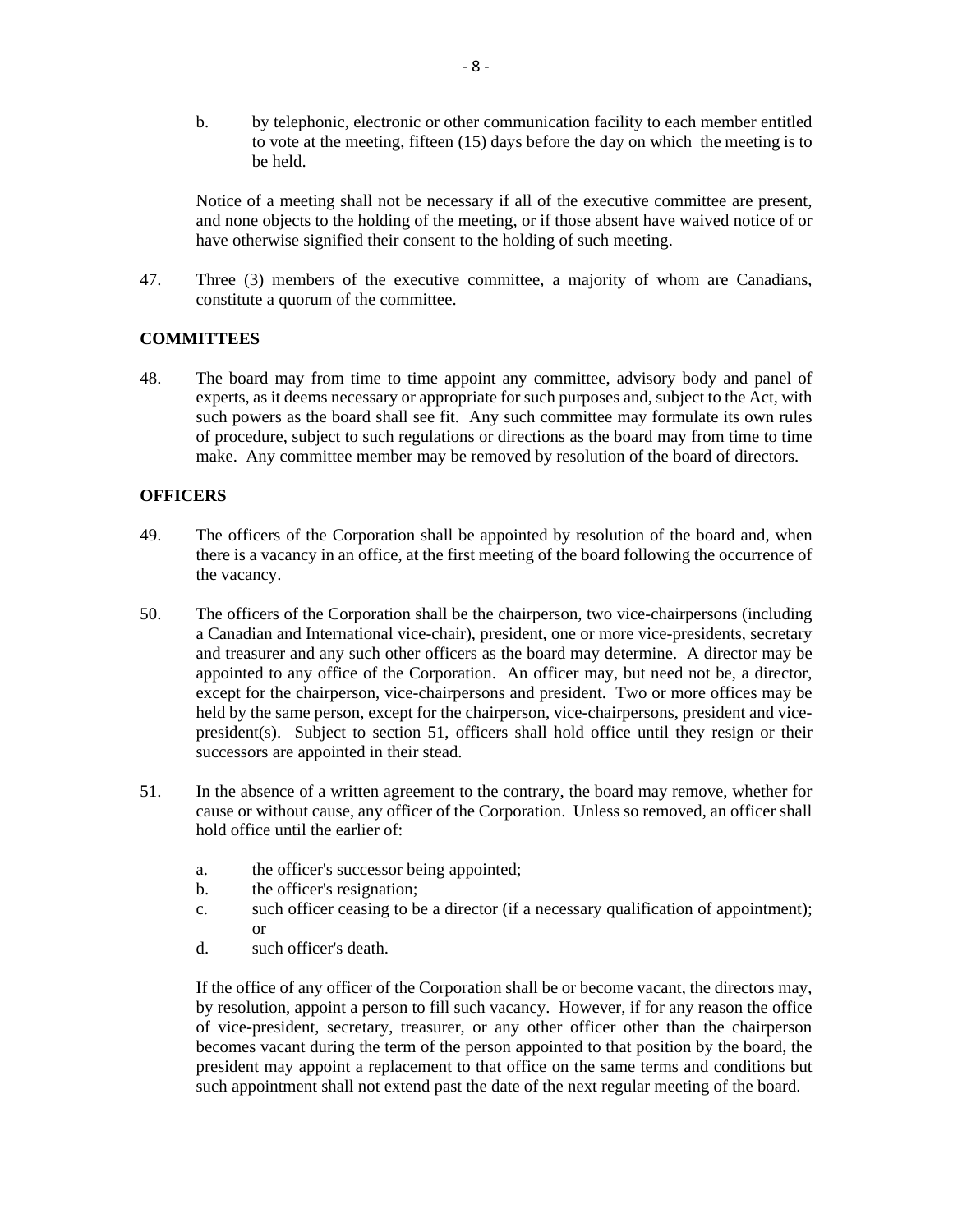b. by telephonic, electronic or other communication facility to each member entitled to vote at the meeting, fifteen (15) days before the day on which the meeting is to be held.

 Notice of a meeting shall not be necessary if all of the executive committee are present, and none objects to the holding of the meeting, or if those absent have waived notice of or have otherwise signified their consent to the holding of such meeting.

47. Three (3) members of the executive committee, a majority of whom are Canadians, constitute a quorum of the committee.

## **COMMITTEES**

48. The board may from time to time appoint any committee, advisory body and panel of experts, as it deems necessary or appropriate for such purposes and, subject to the Act, with such powers as the board shall see fit. Any such committee may formulate its own rules of procedure, subject to such regulations or directions as the board may from time to time make. Any committee member may be removed by resolution of the board of directors.

## **OFFICERS**

- 49. The officers of the Corporation shall be appointed by resolution of the board and, when there is a vacancy in an office, at the first meeting of the board following the occurrence of the vacancy.
- 50. The officers of the Corporation shall be the chairperson, two vice-chairpersons (including a Canadian and International vice-chair), president, one or more vice-presidents, secretary and treasurer and any such other officers as the board may determine. A director may be appointed to any office of the Corporation. An officer may, but need not be, a director, except for the chairperson, vice-chairpersons and president. Two or more offices may be held by the same person, except for the chairperson, vice-chairpersons, president and vicepresident(s). Subject to section 51, officers shall hold office until they resign or their successors are appointed in their stead.
- 51. In the absence of a written agreement to the contrary, the board may remove, whether for cause or without cause, any officer of the Corporation. Unless so removed, an officer shall hold office until the earlier of:
	- a. the officer's successor being appointed;
	- b. the officer's resignation;
	- c. such officer ceasing to be a director (if a necessary qualification of appointment); or
	- d. such officer's death.

If the office of any officer of the Corporation shall be or become vacant, the directors may, by resolution, appoint a person to fill such vacancy. However, if for any reason the office of vice-president, secretary, treasurer, or any other officer other than the chairperson becomes vacant during the term of the person appointed to that position by the board, the president may appoint a replacement to that office on the same terms and conditions but such appointment shall not extend past the date of the next regular meeting of the board.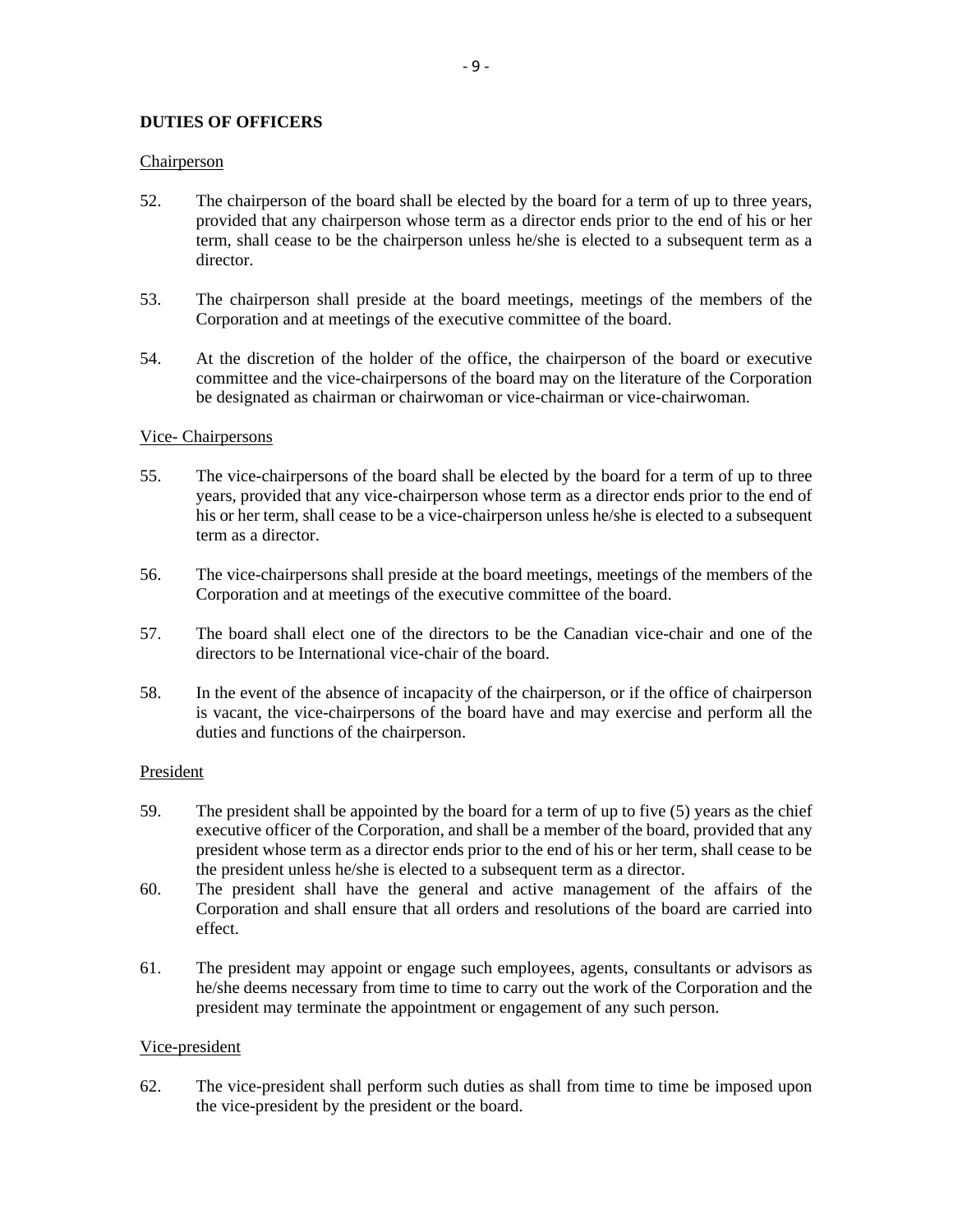## **DUTIES OF OFFICERS**

### **Chairperson**

- 52. The chairperson of the board shall be elected by the board for a term of up to three years, provided that any chairperson whose term as a director ends prior to the end of his or her term, shall cease to be the chairperson unless he/she is elected to a subsequent term as a director.
- 53. The chairperson shall preside at the board meetings, meetings of the members of the Corporation and at meetings of the executive committee of the board.
- 54. At the discretion of the holder of the office, the chairperson of the board or executive committee and the vice-chairpersons of the board may on the literature of the Corporation be designated as chairman or chairwoman or vice-chairman or vice-chairwoman.

### Vice- Chairpersons

- 55. The vice-chairpersons of the board shall be elected by the board for a term of up to three years, provided that any vice-chairperson whose term as a director ends prior to the end of his or her term, shall cease to be a vice-chairperson unless he/she is elected to a subsequent term as a director.
- 56. The vice-chairpersons shall preside at the board meetings, meetings of the members of the Corporation and at meetings of the executive committee of the board.
- 57. The board shall elect one of the directors to be the Canadian vice-chair and one of the directors to be International vice-chair of the board.
- 58. In the event of the absence of incapacity of the chairperson, or if the office of chairperson is vacant, the vice-chairpersons of the board have and may exercise and perform all the duties and functions of the chairperson.

#### President

- 59. The president shall be appointed by the board for a term of up to five (5) years as the chief executive officer of the Corporation, and shall be a member of the board, provided that any president whose term as a director ends prior to the end of his or her term, shall cease to be the president unless he/she is elected to a subsequent term as a director.
- 60. The president shall have the general and active management of the affairs of the Corporation and shall ensure that all orders and resolutions of the board are carried into effect.
- 61. The president may appoint or engage such employees, agents, consultants or advisors as he/she deems necessary from time to time to carry out the work of the Corporation and the president may terminate the appointment or engagement of any such person.

## Vice-president

62. The vice-president shall perform such duties as shall from time to time be imposed upon the vice-president by the president or the board.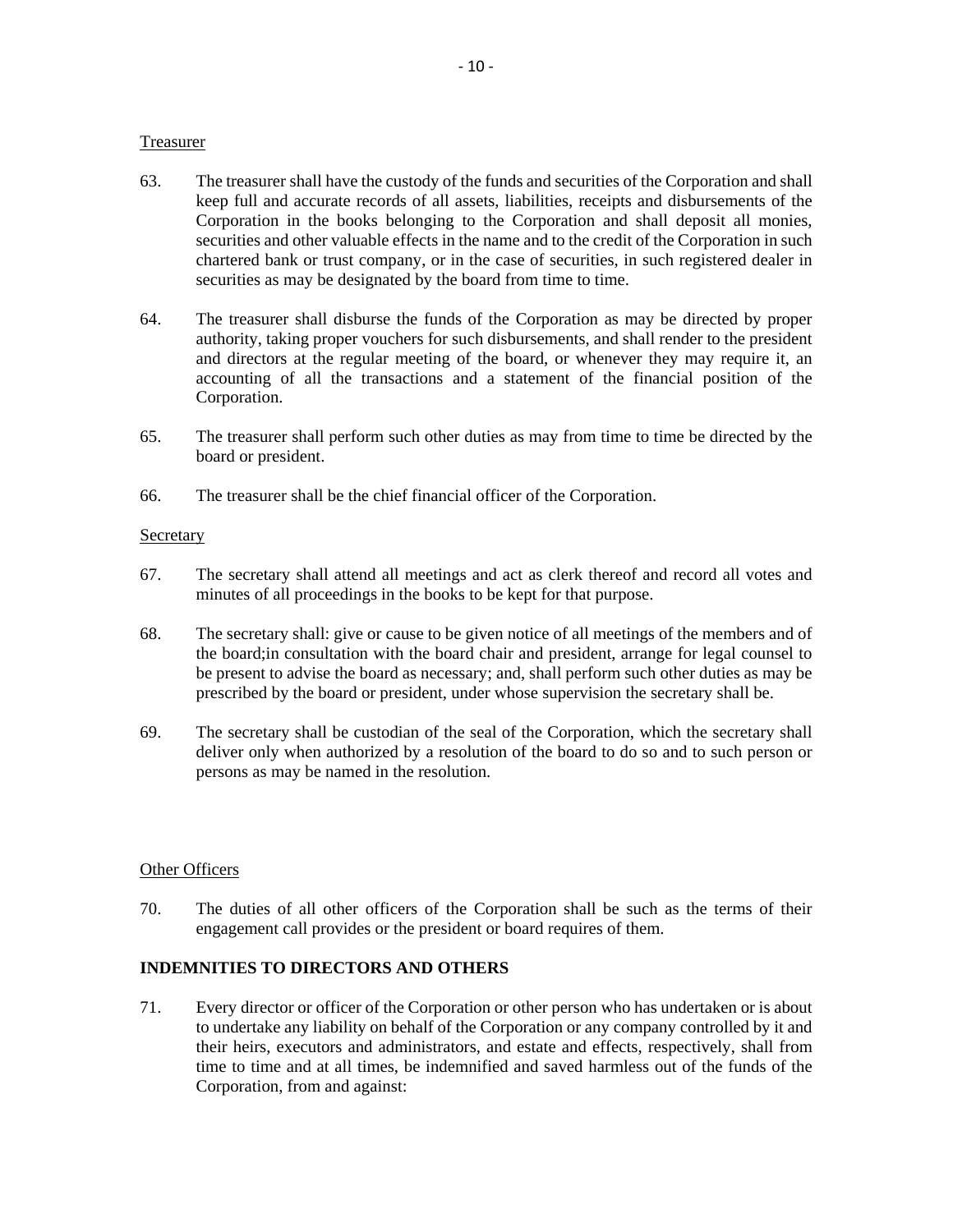### Treasurer

- 63. The treasurer shall have the custody of the funds and securities of the Corporation and shall keep full and accurate records of all assets, liabilities, receipts and disbursements of the Corporation in the books belonging to the Corporation and shall deposit all monies, securities and other valuable effects in the name and to the credit of the Corporation in such chartered bank or trust company, or in the case of securities, in such registered dealer in securities as may be designated by the board from time to time.
- 64. The treasurer shall disburse the funds of the Corporation as may be directed by proper authority, taking proper vouchers for such disbursements, and shall render to the president and directors at the regular meeting of the board, or whenever they may require it, an accounting of all the transactions and a statement of the financial position of the Corporation.
- 65. The treasurer shall perform such other duties as may from time to time be directed by the board or president.
- 66. The treasurer shall be the chief financial officer of the Corporation.

### **Secretary**

- 67. The secretary shall attend all meetings and act as clerk thereof and record all votes and minutes of all proceedings in the books to be kept for that purpose.
- 68. The secretary shall: give or cause to be given notice of all meetings of the members and of the board;in consultation with the board chair and president, arrange for legal counsel to be present to advise the board as necessary; and, shall perform such other duties as may be prescribed by the board or president, under whose supervision the secretary shall be.
- 69. The secretary shall be custodian of the seal of the Corporation, which the secretary shall deliver only when authorized by a resolution of the board to do so and to such person or persons as may be named in the resolution.

#### Other Officers

70. The duties of all other officers of the Corporation shall be such as the terms of their engagement call provides or the president or board requires of them.

## **INDEMNITIES TO DIRECTORS AND OTHERS**

71. Every director or officer of the Corporation or other person who has undertaken or is about to undertake any liability on behalf of the Corporation or any company controlled by it and their heirs, executors and administrators, and estate and effects, respectively, shall from time to time and at all times, be indemnified and saved harmless out of the funds of the Corporation, from and against: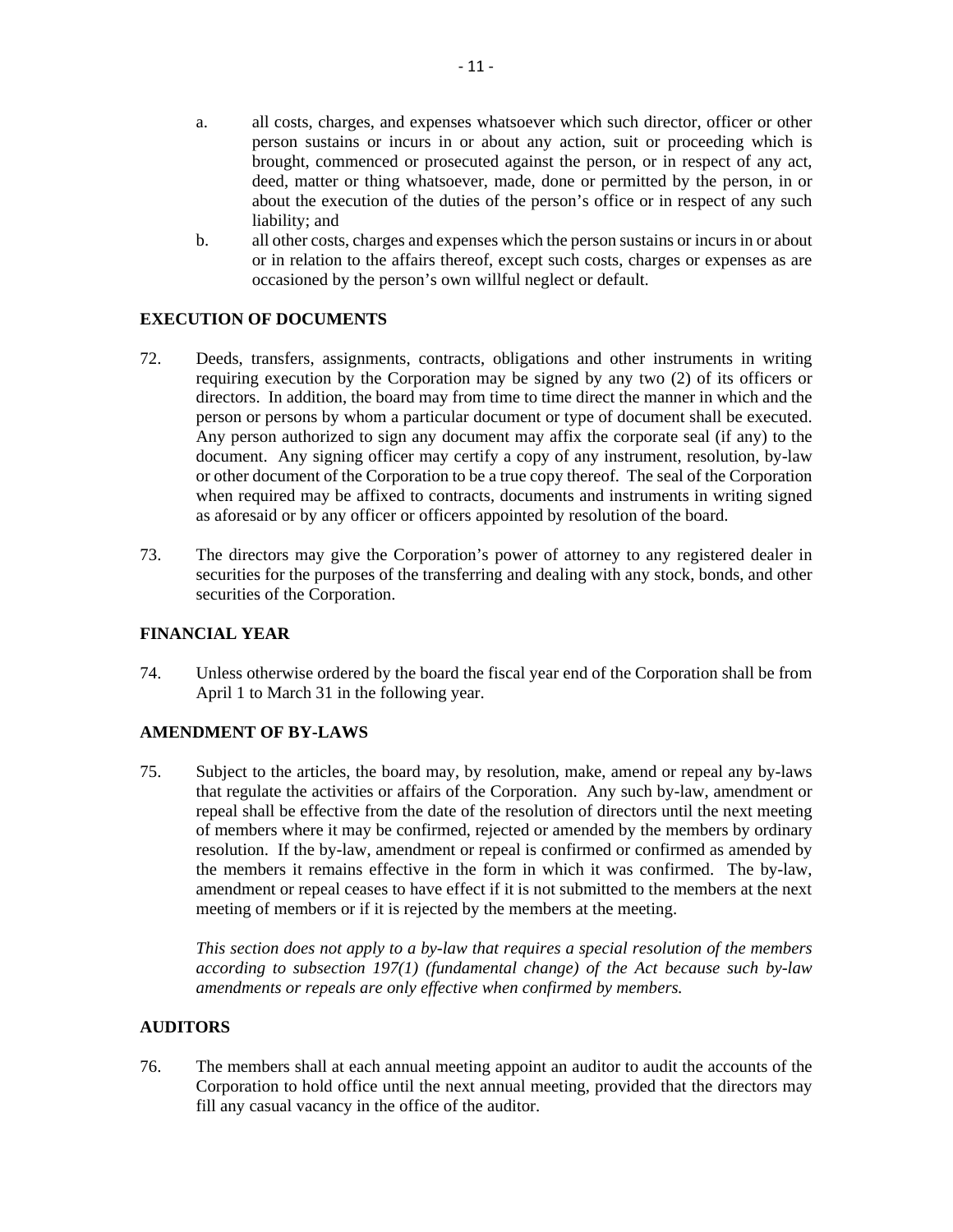- a. all costs, charges, and expenses whatsoever which such director, officer or other person sustains or incurs in or about any action, suit or proceeding which is brought, commenced or prosecuted against the person, or in respect of any act, deed, matter or thing whatsoever, made, done or permitted by the person, in or about the execution of the duties of the person's office or in respect of any such liability; and
- b. all other costs, charges and expenses which the person sustains or incurs in or about or in relation to the affairs thereof, except such costs, charges or expenses as are occasioned by the person's own willful neglect or default.

## **EXECUTION OF DOCUMENTS**

- 72. Deeds, transfers, assignments, contracts, obligations and other instruments in writing requiring execution by the Corporation may be signed by any two (2) of its officers or directors. In addition, the board may from time to time direct the manner in which and the person or persons by whom a particular document or type of document shall be executed. Any person authorized to sign any document may affix the corporate seal (if any) to the document. Any signing officer may certify a copy of any instrument, resolution, by-law or other document of the Corporation to be a true copy thereof. The seal of the Corporation when required may be affixed to contracts, documents and instruments in writing signed as aforesaid or by any officer or officers appointed by resolution of the board.
- 73. The directors may give the Corporation's power of attorney to any registered dealer in securities for the purposes of the transferring and dealing with any stock, bonds, and other securities of the Corporation.

# **FINANCIAL YEAR**

74. Unless otherwise ordered by the board the fiscal year end of the Corporation shall be from April 1 to March 31 in the following year.

## **AMENDMENT OF BY-LAWS**

75. Subject to the articles, the board may, by resolution, make, amend or repeal any by-laws that regulate the activities or affairs of the Corporation. Any such by-law, amendment or repeal shall be effective from the date of the resolution of directors until the next meeting of members where it may be confirmed, rejected or amended by the members by ordinary resolution. If the by-law, amendment or repeal is confirmed or confirmed as amended by the members it remains effective in the form in which it was confirmed. The by-law, amendment or repeal ceases to have effect if it is not submitted to the members at the next meeting of members or if it is rejected by the members at the meeting.

*This section does not apply to a by-law that requires a special resolution of the members according to subsection 197(1) (fundamental change) of the Act because such by-law amendments or repeals are only effective when confirmed by members.* 

## **AUDITORS**

76. The members shall at each annual meeting appoint an auditor to audit the accounts of the Corporation to hold office until the next annual meeting, provided that the directors may fill any casual vacancy in the office of the auditor.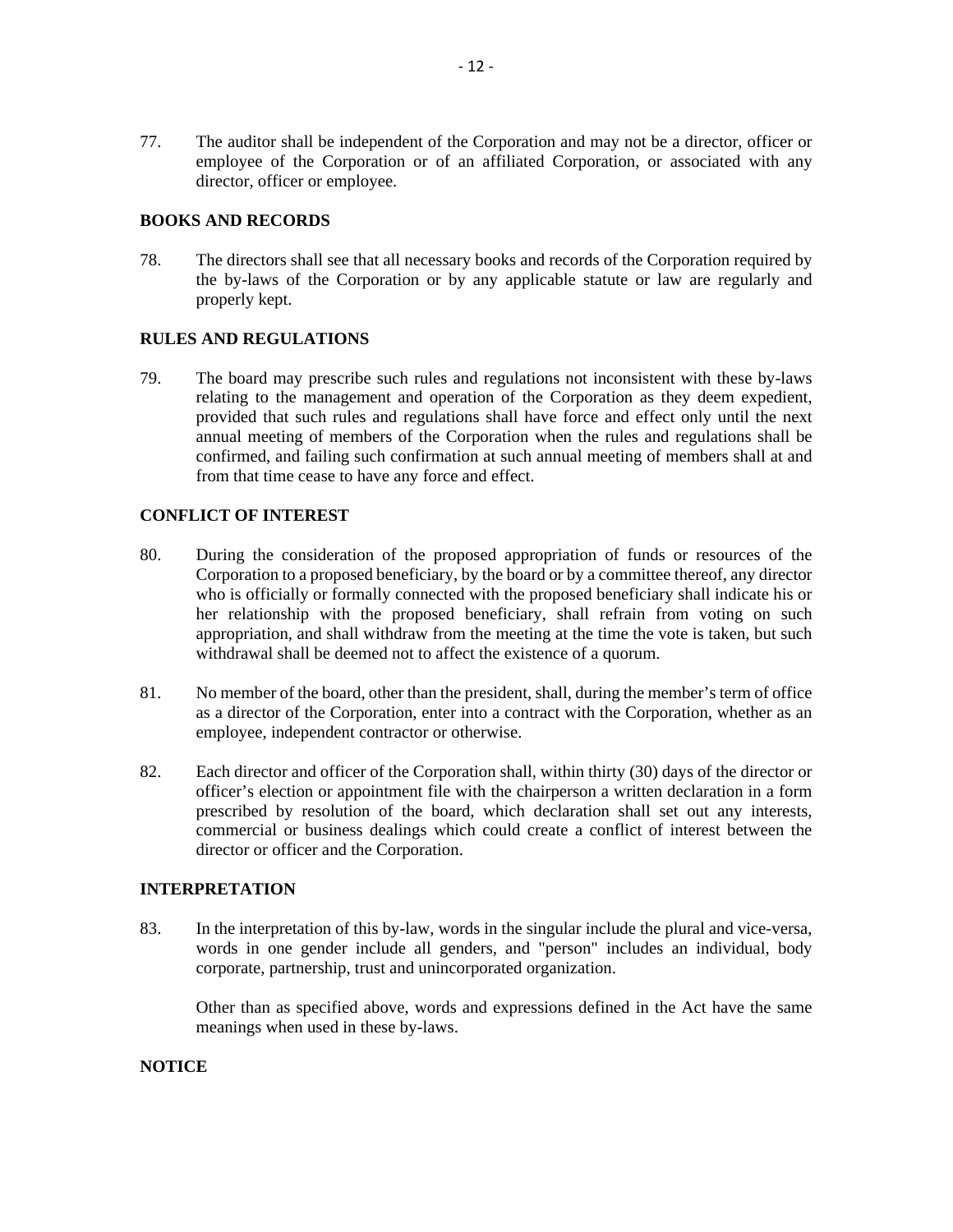77. The auditor shall be independent of the Corporation and may not be a director, officer or employee of the Corporation or of an affiliated Corporation, or associated with any director, officer or employee.

### **BOOKS AND RECORDS**

78. The directors shall see that all necessary books and records of the Corporation required by the by-laws of the Corporation or by any applicable statute or law are regularly and properly kept.

## **RULES AND REGULATIONS**

79. The board may prescribe such rules and regulations not inconsistent with these by-laws relating to the management and operation of the Corporation as they deem expedient, provided that such rules and regulations shall have force and effect only until the next annual meeting of members of the Corporation when the rules and regulations shall be confirmed, and failing such confirmation at such annual meeting of members shall at and from that time cease to have any force and effect.

### **CONFLICT OF INTEREST**

- 80. During the consideration of the proposed appropriation of funds or resources of the Corporation to a proposed beneficiary, by the board or by a committee thereof, any director who is officially or formally connected with the proposed beneficiary shall indicate his or her relationship with the proposed beneficiary, shall refrain from voting on such appropriation, and shall withdraw from the meeting at the time the vote is taken, but such withdrawal shall be deemed not to affect the existence of a quorum.
- 81. No member of the board, other than the president, shall, during the member's term of office as a director of the Corporation, enter into a contract with the Corporation, whether as an employee, independent contractor or otherwise.
- 82. Each director and officer of the Corporation shall, within thirty (30) days of the director or officer's election or appointment file with the chairperson a written declaration in a form prescribed by resolution of the board, which declaration shall set out any interests, commercial or business dealings which could create a conflict of interest between the director or officer and the Corporation.

### **INTERPRETATION**

83. In the interpretation of this by-law, words in the singular include the plural and vice-versa, words in one gender include all genders, and "person" includes an individual, body corporate, partnership, trust and unincorporated organization.

Other than as specified above, words and expressions defined in the Act have the same meanings when used in these by-laws.

## **NOTICE**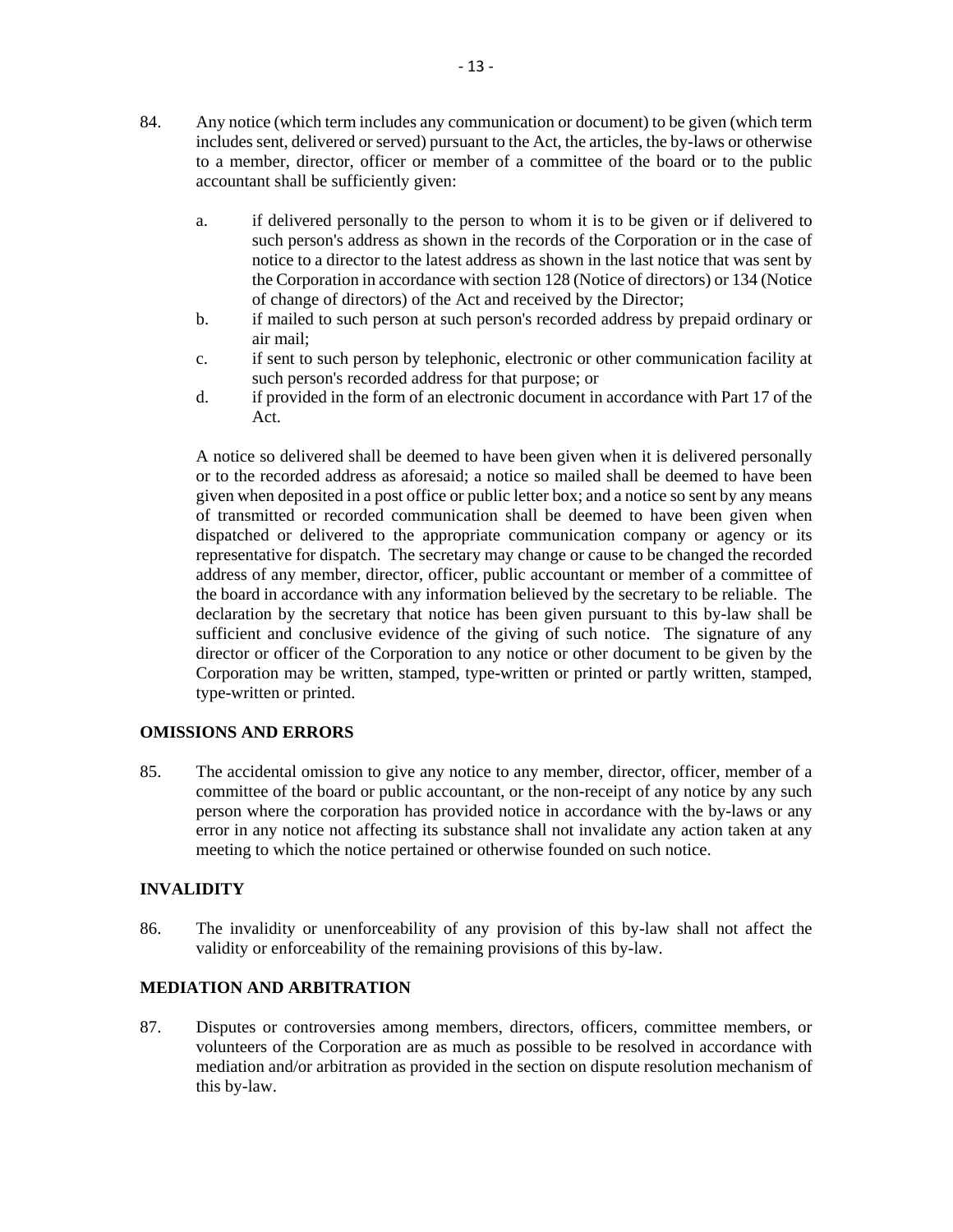- 84. Any notice (which term includes any communication or document) to be given (which term includes sent, delivered or served) pursuant to the Act, the articles, the by-laws or otherwise to a member, director, officer or member of a committee of the board or to the public accountant shall be sufficiently given:
	- a. if delivered personally to the person to whom it is to be given or if delivered to such person's address as shown in the records of the Corporation or in the case of notice to a director to the latest address as shown in the last notice that was sent by the Corporation in accordance with section 128 (Notice of directors) or 134 (Notice of change of directors) of the Act and received by the Director;
	- b. if mailed to such person at such person's recorded address by prepaid ordinary or air mail;
	- c. if sent to such person by telephonic, electronic or other communication facility at such person's recorded address for that purpose; or
	- d. if provided in the form of an electronic document in accordance with Part 17 of the Act.

A notice so delivered shall be deemed to have been given when it is delivered personally or to the recorded address as aforesaid; a notice so mailed shall be deemed to have been given when deposited in a post office or public letter box; and a notice so sent by any means of transmitted or recorded communication shall be deemed to have been given when dispatched or delivered to the appropriate communication company or agency or its representative for dispatch. The secretary may change or cause to be changed the recorded address of any member, director, officer, public accountant or member of a committee of the board in accordance with any information believed by the secretary to be reliable. The declaration by the secretary that notice has been given pursuant to this by-law shall be sufficient and conclusive evidence of the giving of such notice. The signature of any director or officer of the Corporation to any notice or other document to be given by the Corporation may be written, stamped, type-written or printed or partly written, stamped, type-written or printed.

## **OMISSIONS AND ERRORS**

85. The accidental omission to give any notice to any member, director, officer, member of a committee of the board or public accountant, or the non-receipt of any notice by any such person where the corporation has provided notice in accordance with the by-laws or any error in any notice not affecting its substance shall not invalidate any action taken at any meeting to which the notice pertained or otherwise founded on such notice.

## **INVALIDITY**

86. The invalidity or unenforceability of any provision of this by-law shall not affect the validity or enforceability of the remaining provisions of this by-law.

## **MEDIATION AND ARBITRATION**

87. Disputes or controversies among members, directors, officers, committee members, or volunteers of the Corporation are as much as possible to be resolved in accordance with mediation and/or arbitration as provided in the section on dispute resolution mechanism of this by-law.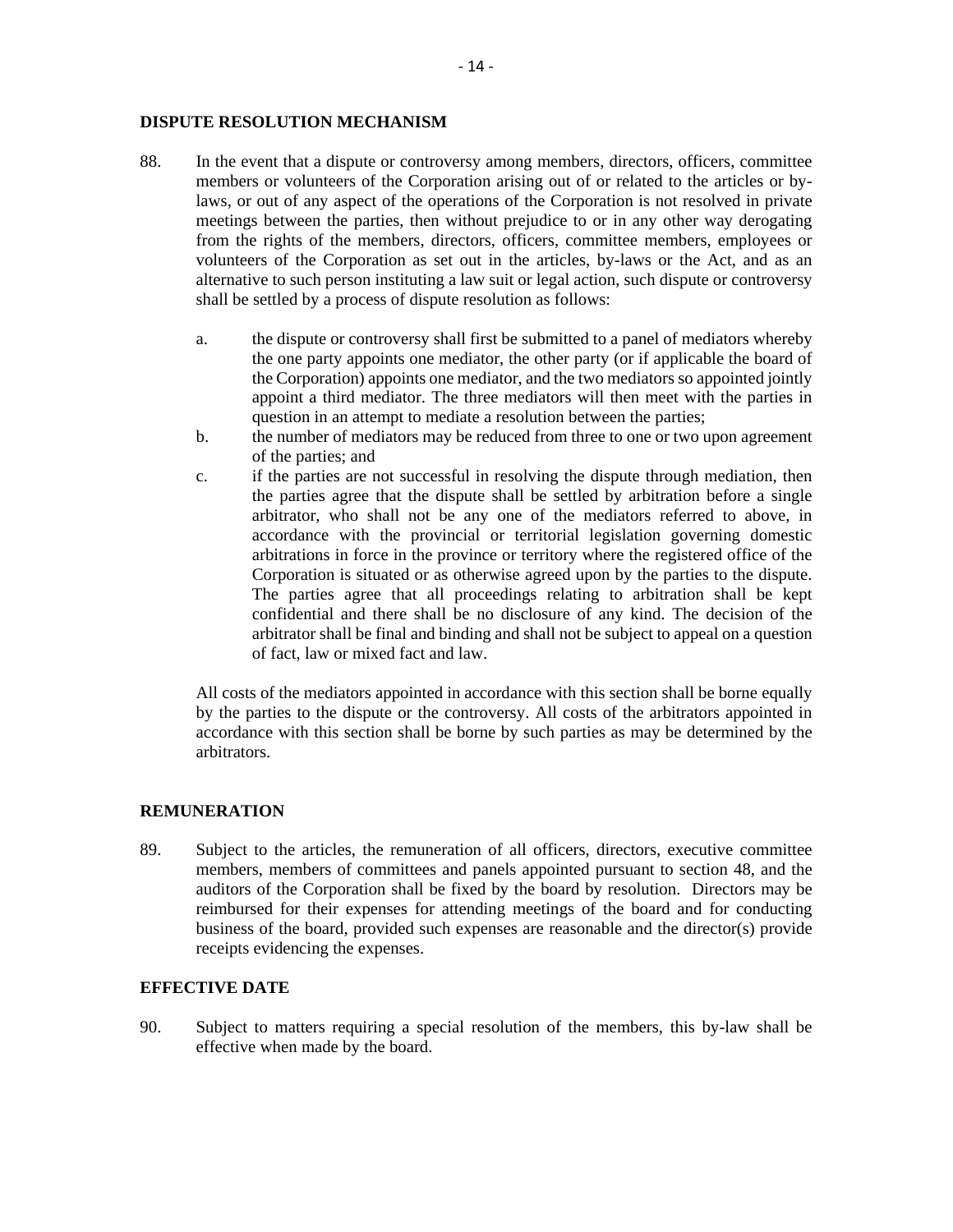#### **DISPUTE RESOLUTION MECHANISM**

- 88. In the event that a dispute or controversy among members, directors, officers, committee members or volunteers of the Corporation arising out of or related to the articles or bylaws, or out of any aspect of the operations of the Corporation is not resolved in private meetings between the parties, then without prejudice to or in any other way derogating from the rights of the members, directors, officers, committee members, employees or volunteers of the Corporation as set out in the articles, by-laws or the Act, and as an alternative to such person instituting a law suit or legal action, such dispute or controversy shall be settled by a process of dispute resolution as follows:
	- a. the dispute or controversy shall first be submitted to a panel of mediators whereby the one party appoints one mediator, the other party (or if applicable the board of the Corporation) appoints one mediator, and the two mediators so appointed jointly appoint a third mediator. The three mediators will then meet with the parties in question in an attempt to mediate a resolution between the parties;
	- b. the number of mediators may be reduced from three to one or two upon agreement of the parties; and
	- c. if the parties are not successful in resolving the dispute through mediation, then the parties agree that the dispute shall be settled by arbitration before a single arbitrator, who shall not be any one of the mediators referred to above, in accordance with the provincial or territorial legislation governing domestic arbitrations in force in the province or territory where the registered office of the Corporation is situated or as otherwise agreed upon by the parties to the dispute. The parties agree that all proceedings relating to arbitration shall be kept confidential and there shall be no disclosure of any kind. The decision of the arbitrator shall be final and binding and shall not be subject to appeal on a question of fact, law or mixed fact and law.

All costs of the mediators appointed in accordance with this section shall be borne equally by the parties to the dispute or the controversy. All costs of the arbitrators appointed in accordance with this section shall be borne by such parties as may be determined by the arbitrators.

#### **REMUNERATION**

89. Subject to the articles, the remuneration of all officers, directors, executive committee members, members of committees and panels appointed pursuant to section 48, and the auditors of the Corporation shall be fixed by the board by resolution. Directors may be reimbursed for their expenses for attending meetings of the board and for conducting business of the board, provided such expenses are reasonable and the director(s) provide receipts evidencing the expenses.

## **EFFECTIVE DATE**

90. Subject to matters requiring a special resolution of the members, this by-law shall be effective when made by the board.